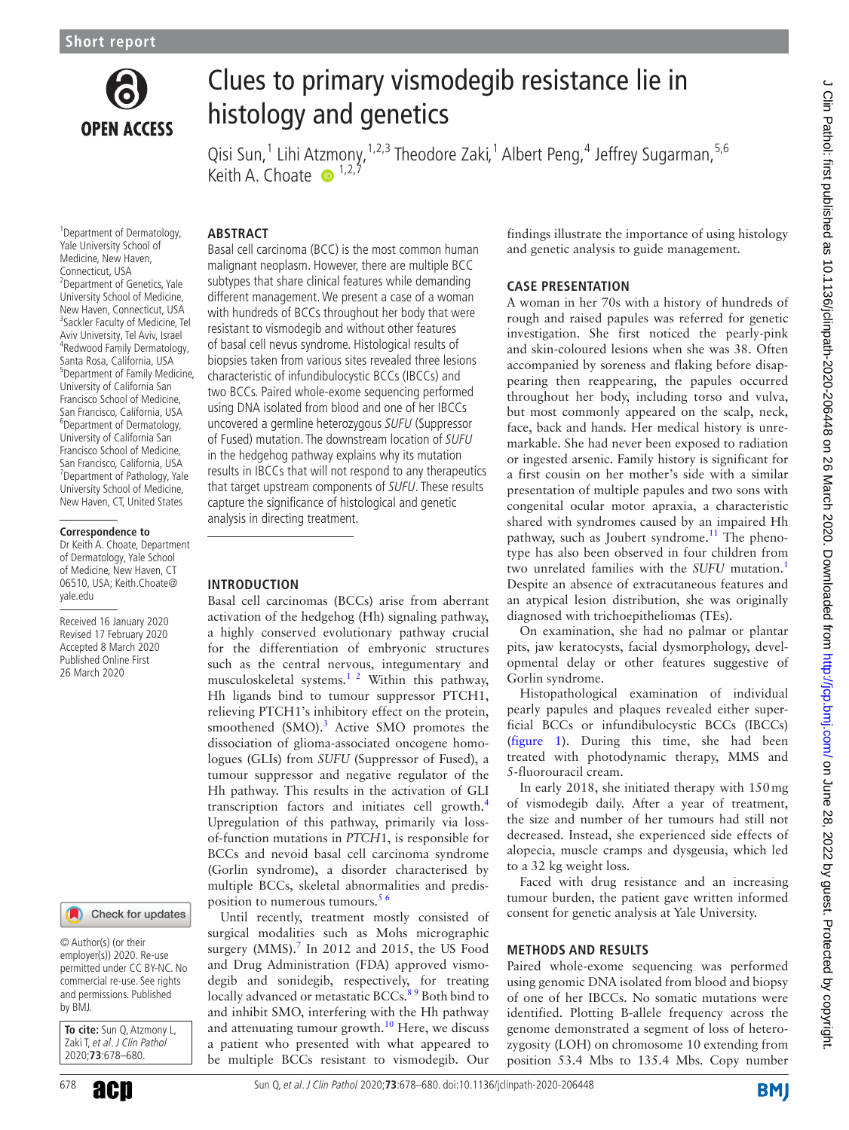

# Clues to primary vismodegib resistance lie in histology and genetics

Qisi Sun,<sup>1</sup> Lihi At[zm](http://orcid.org/0000-0002-5857-7772)ony,<sup>1,2,3</sup> Theodore Zaki,<sup>1</sup> Albert Peng,<sup>4</sup> Jeffrey Sugarman,<sup>5,6</sup> Keith A. Choate  $\bullet$  <sup>1,2,7</sup>

### **ABSTRACT**

1 Department of Dermatology, Yale University School of Medicine, New Haven, Connecticut, USA <sup>2</sup> Department of Genetics, Yale University School of Medicine, New Haven, Connecticut, USA <sup>3</sup>Sackler Faculty of Medicine, Tel Aviv University, Tel Aviv, Israel 4 Redwood Family Dermatology, Santa Rosa, California, USA 5 Department of Family Medicine, University of California San Francisco School of Medicine, San Francisco, California, USA 6 Department of Dermatology, University of California San Francisco School of Medicine, San Francisco, California, USA <sup>7</sup> Department of Pathology, Yale University School of Medicine, New Haven, CT, United States

#### **Correspondence to**

Dr Keith A. Choate, Department of Dermatology, Yale School of Medicine, New Haven, CT 06510, USA; Keith.Choate@ yale.edu

Received 16 January 2020 Revised 17 February 2020 Accepted 8 March 2020 Published Online First 26 March 2020

#### Check for updates

© Author(s) (or their employer(s)) 2020. Re-use permitted under CC BY-NC. No commercial re-use. See rights and permissions. Published by BMJ.

**To cite:** Sun Q, Atzmony L, Zaki T, et al. J Clin Pathol 2020;**73**:678–680.

Basal cell carcinoma (BCC) is the most common human malignant neoplasm. However, there are multiple BCC subtypes that share clinical features while demanding different management. We present a case of a woman with hundreds of BCCs throughout her body that were resistant to vismodegib and without other features of basal cell nevus syndrome. Histological results of biopsies taken from various sites revealed three lesions characteristic of infundibulocystic BCCs (IBCCs) and two BCCs. Paired whole-exome sequencing performed using DNA isolated from blood and one of her IBCCs uncovered a germline heterozygous SUFU (Suppressor of Fused) mutation. The downstream location of SUFU in the hedgehog pathway explains why its mutation results in IBCCs that will not respond to any therapeutics that target upstream components of SUFU. These results capture the significance of histological and genetic analysis in directing treatment.

## **Introduction**

Basal cell carcinomas (BCCs) arise from aberrant activation of the hedgehog (Hh) signaling pathway, a highly conserved evolutionary pathway crucial for the differentiation of embryonic structures such as the central nervous, integumentary and musculoskeletal systems.<sup>[1 2](#page-2-0)</sup> Within this pathway, Hh ligands bind to tumour suppressor PTCH1, relieving PTCH1's inhibitory effect on the protein, smoothened (SMO).<sup>[3](#page-2-1)</sup> Active SMO promotes the dissociation of glioma-associated oncogene homologues (GLIs) from *SUFU* (Suppressor of Fused), a tumour suppressor and negative regulator of the Hh pathway. This results in the activation of GLI transcription factors and initiates cell growth.[4](#page-2-2) Upregulation of this pathway, primarily via lossof-function mutations in *PTCH*1, is responsible for BCCs and nevoid basal cell carcinoma syndrome (Gorlin syndrome), a disorder characterised by multiple BCCs, skeletal abnormalities and predisposition to numerous tumours.<sup>56</sup>

Until recently, treatment mostly consisted of surgical modalities such as Mohs micrographic surgery (MMS). $^7$  $^7$  In 2012 and 2015, the US Food and Drug Administration (FDA) approved vismodegib and sonidegib, respectively, for treating locally advanced or metastatic BCCs.<sup>89</sup> Both bind to and inhibit SMO, interfering with the Hh pathway and attenuating tumour growth. $10$  Here, we discuss a patient who presented with what appeared to be multiple BCCs resistant to vismodegib. Our

findings illustrate the importance of using histology and genetic analysis to guide management.

#### **Case presentation**

A woman in her 70s with a history of hundreds of rough and raised papules was referred for genetic investigation. She first noticed the pearly-pink and skin-coloured lesions when she was 38. Often accompanied by soreness and flaking before disappearing then reappearing, the papules occurred throughout her body, including torso and vulva, but most commonly appeared on the scalp, neck, face, back and hands. Her medical history is unremarkable. She had never been exposed to radiation or ingested arsenic. Family history is significant for a first cousin on her mother's side with a similar presentation of multiple papules and two sons with congenital ocular motor apraxia, a characteristic shared with syndromes caused by an impaired Hh pathway, such as Joubert syndrome.<sup>[11](#page-2-7)</sup> The phenotype has also been observed in four children from two unrelated families with the *SUFU* mutation.[1](#page-2-0) Despite an absence of extracutaneous features and an atypical lesion distribution, she was originally diagnosed with trichoepitheliomas (TEs).

On examination, she had no palmar or plantar pits, jaw keratocysts, facial dysmorphology, developmental delay or other features suggestive of Gorlin syndrome.

Histopathological examination of individual pearly papules and plaques revealed either superficial BCCs or infundibulocystic BCCs (IBCCs) ([figure](#page-1-0) 1). During this time, she had been treated with photodynamic therapy, MMS and 5-fluorouracil cream.

In early 2018, she initiated therapy with 150mg of vismodegib daily. After a year of treatment, the size and number of her tumours had still not decreased. Instead, she experienced side effects of alopecia, muscle cramps and dysgeusia, which led to a 32 kg weight loss.

Faced with drug resistance and an increasing tumour burden, the patient gave written informed consent for genetic analysis at Yale University.

#### **Methods and results**

Paired whole-exome sequencing was performed using genomic DNA isolated from blood and biopsy of one of her IBCCs. No somatic mutations were identified. Plotting B-allele frequency across the genome demonstrated a segment of loss of heterozygosity (LOH) on chromosome 10 extending from position 53.4 Mbs to 135.4 Mbs. Copy number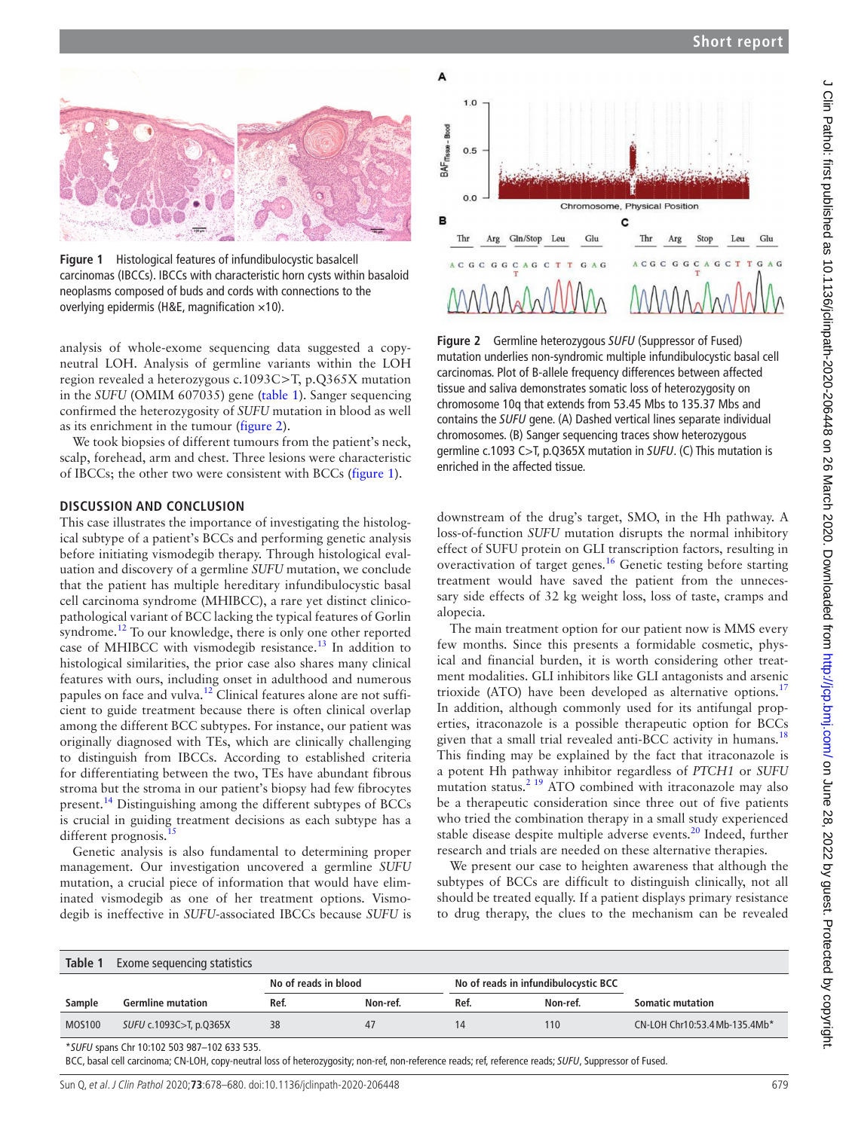

<span id="page-1-0"></span>**Figure 1** Histological features of infundibulocystic basalcell carcinomas (IBCCs). IBCCs with characteristic horn cysts within basaloid neoplasms composed of buds and cords with connections to the overlying epidermis (H&E, magnification  $\times$ 10).

analysis of whole-exome sequencing data suggested a copyneutral LOH. Analysis of germline variants within the LOH region revealed a heterozygous c.1093C>T, p.Q365X mutation in the *SUFU* (OMIM 607035) gene ([table](#page-1-1) 1). Sanger sequencing confirmed the heterozygosity of *SUFU* mutation in blood as well as its enrichment in the tumour [\(figure](#page-1-2) 2).

We took biopsies of different tumours from the patient's neck, scalp, forehead, arm and chest. Three lesions were characteristic of IBCCs; the other two were consistent with BCCs ([figure](#page-1-0) 1).

#### **Discussion and conclusion**

This case illustrates the importance of investigating the histological subtype of a patient's BCCs and performing genetic analysis before initiating vismodegib therapy. Through histological evaluation and discovery of a germline *SUFU* mutation, we conclude that the patient has multiple hereditary infundibulocystic basal cell carcinoma syndrome (MHIBCC), a rare yet distinct clinicopathological variant of BCC lacking the typical features of Gorlin syndrome.[12](#page-2-8) To our knowledge, there is only one other reported case of MHIBCC with vismodegib resistance.<sup>[13](#page-2-9)</sup> In addition to histological similarities, the prior case also shares many clinical features with ours, including onset in adulthood and numerous papules on face and vulva.<sup>[12](#page-2-8)</sup> Clinical features alone are not sufficient to guide treatment because there is often clinical overlap among the different BCC subtypes. For instance, our patient was originally diagnosed with TEs, which are clinically challenging to distinguish from IBCCs. According to established criteria for differentiating between the two, TEs have abundant fibrous stroma but the stroma in our patient's biopsy had few fibrocytes present.[14](#page-2-10) Distinguishing among the different subtypes of BCCs is crucial in guiding treatment decisions as each subtype has a different prognosis.<sup>1</sup>

Genetic analysis is also fundamental to determining proper management. Our investigation uncovered a germline *SUFU* mutation, a crucial piece of information that would have eliminated vismodegib as one of her treatment options. Vismodegib is ineffective in *SUFU*-associated IBCCs because *SUFU* is



<span id="page-1-2"></span>**Figure 2** Germline heterozygous *SUFU* (Suppressor of Fused) mutation underlies non-syndromic multiple infundibulocystic basal cell carcinomas. Plot of B-allele frequency differences between affected tissue and saliva demonstrates somatic loss of heterozygosity on chromosome 10q that extends from 53.45 Mbs to 135.37 Mbs and contains the *SUFU* gene. (A) Dashed vertical lines separate individual chromosomes. (B) Sanger sequencing traces show heterozygous germline c.1093 C>T, p.Q365X mutation in *SUFU*. (C) This mutation is enriched in the affected tissue.

downstream of the drug's target, SMO, in the Hh pathway. A loss-of-function *SUFU* mutation disrupts the normal inhibitory effect of SUFU protein on GLI transcription factors, resulting in overactivation of target genes.[16](#page-2-12) Genetic testing before starting treatment would have saved the patient from the unnecessary side effects of 32 kg weight loss, loss of taste, cramps and alopecia.

The main treatment option for our patient now is MMS every few months. Since this presents a formidable cosmetic, physical and financial burden, it is worth considering other treatment modalities. GLI inhibitors like GLI antagonists and arsenic trioxide (ATO) have been developed as alternative options.<sup>[17](#page-2-13)</sup> In addition, although commonly used for its antifungal properties, itraconazole is a possible therapeutic option for BCCs given that a small trial revealed anti-BCC activity in humans.<sup>[18](#page-2-14)</sup> This finding may be explained by the fact that itraconazole is a potent Hh pathway inhibitor regardless of *PTCH1* or *SUFU* mutation status.<sup>[2 19](#page-2-15)</sup> ATO combined with itraconazole may also be a therapeutic consideration since three out of five patients who tried the combination therapy in a small study experienced stable disease despite multiple adverse events.<sup>[20](#page-2-16)</sup> Indeed, further research and trials are needed on these alternative therapies.

We present our case to heighten awareness that although the subtypes of BCCs are difficult to distinguish clinically, not all should be treated equally. If a patient displays primary resistance to drug therapy, the clues to the mechanism can be revealed

<span id="page-1-1"></span>

| Table 1       | Exome sequencing statistics |                      |          |                                      |          |                               |
|---------------|-----------------------------|----------------------|----------|--------------------------------------|----------|-------------------------------|
|               |                             | No of reads in blood |          | No of reads in infundibulocystic BCC |          |                               |
| Sample        | <b>Germline mutation</b>    | Ref.                 | Non-ref. | Ref.                                 | Non-ref. | <b>Somatic mutation</b>       |
| <b>MOS100</b> | SUFU c.1093C>T, p.Q365X     | 38                   | 47       | 14                                   | 110      | CN-LOH Chr10:53.4 Mb-135.4Mb* |
|               |                             |                      |          |                                      |          |                               |

\**SUFU* spans Chr 10:102 503 987–102 633 535.

BCC, basal cell carcinoma; CN-LOH, copy-neutral loss of heterozygosity; non-ref, non-reference reads; ref, reference reads; *SUFU*, Suppressor of Fused.

Sun Q, et al. J Clin Pathol 2020;**73**:678–680. doi:10.1136/jclinpath-2020-206448 679